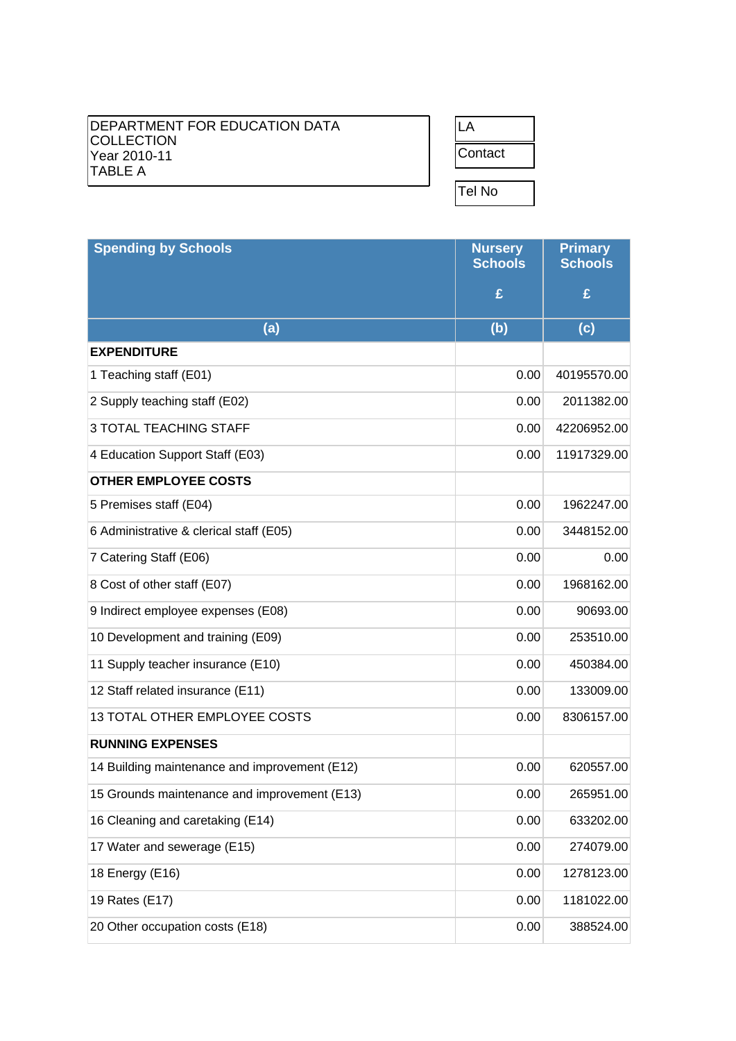## DEPARTMENT FOR EDUCATION DATA COLLECTION Year 2010-11 TABLE A

| contact: |  |
|----------|--|
|          |  |
| Tel No   |  |

| <b>Spending by Schools</b>                    | <b>Nursery</b><br><b>Schools</b> | <b>Primary</b><br><b>Schools</b> |
|-----------------------------------------------|----------------------------------|----------------------------------|
|                                               | £                                | £                                |
| (a)                                           | (b)                              | (c)                              |
| <b>EXPENDITURE</b>                            |                                  |                                  |
| 1 Teaching staff (E01)                        | 0.00                             | 40195570.00                      |
| 2 Supply teaching staff (E02)                 | 0.00                             | 2011382.00                       |
| <b>3 TOTAL TEACHING STAFF</b>                 | 0.00                             | 42206952.00                      |
| 4 Education Support Staff (E03)               | 0.00                             | 11917329.00                      |
| <b>OTHER EMPLOYEE COSTS</b>                   |                                  |                                  |
| 5 Premises staff (E04)                        | 0.00                             | 1962247.00                       |
| 6 Administrative & clerical staff (E05)       | 0.00                             | 3448152.00                       |
| 7 Catering Staff (E06)                        | 0.00                             | 0.00                             |
| 8 Cost of other staff (E07)                   | 0.00                             | 1968162.00                       |
| 9 Indirect employee expenses (E08)            | 0.00                             | 90693.00                         |
| 10 Development and training (E09)             | 0.00                             | 253510.00                        |
| 11 Supply teacher insurance (E10)             | 0.00                             | 450384.00                        |
| 12 Staff related insurance (E11)              | 0.00                             | 133009.00                        |
| 13 TOTAL OTHER EMPLOYEE COSTS                 | 0.00                             | 8306157.00                       |
| <b>RUNNING EXPENSES</b>                       |                                  |                                  |
| 14 Building maintenance and improvement (E12) | 0.00                             | 620557.00                        |
| 15 Grounds maintenance and improvement (E13)  | 0.00                             | 265951.00                        |
| 16 Cleaning and caretaking (E14)              | 0.00                             | 633202.00                        |
| 17 Water and sewerage (E15)                   | 0.00                             | 274079.00                        |
| 18 Energy (E16)                               | 0.00                             | 1278123.00                       |
| 19 Rates (E17)                                | 0.00                             | 1181022.00                       |
| 20 Other occupation costs (E18)               | 0.00                             | 388524.00                        |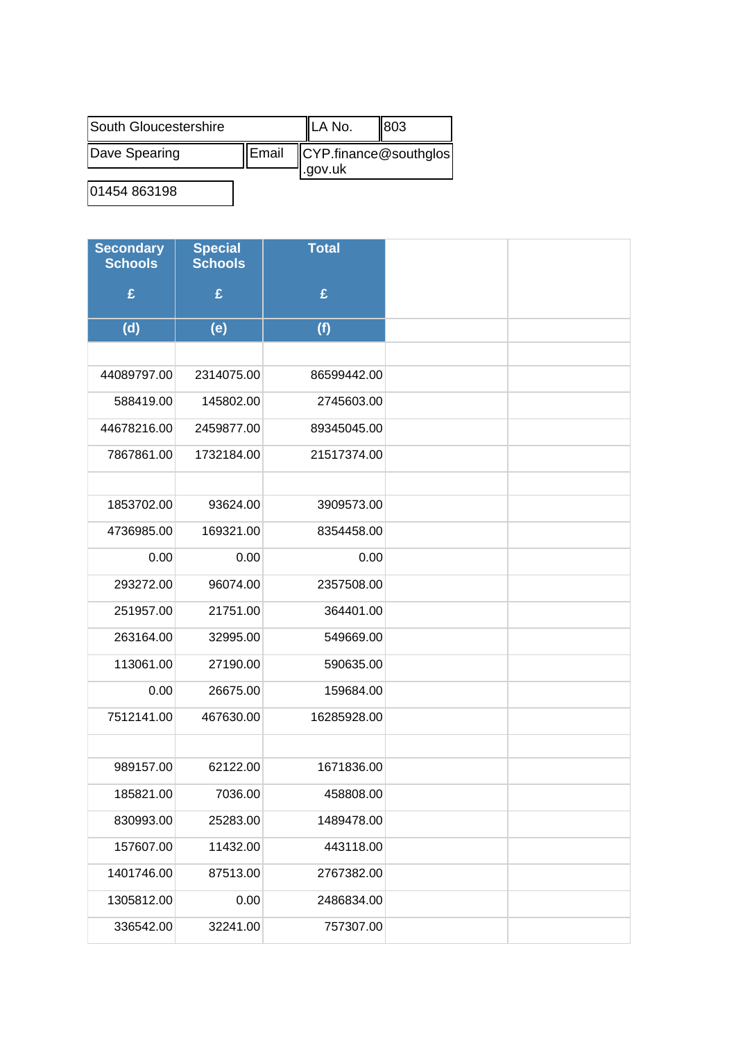| South Gloucestershire |       | <b>ILA No.</b>                    | 803 |
|-----------------------|-------|-----------------------------------|-----|
| Dave Spearing         | Email | $\mathsf{CYP}$ .finance@southglos |     |
|                       |       | l.gov.uk                          |     |

01454 863198

| <b>Secondary</b><br><b>Schools</b> | <b>Special</b><br><b>Schools</b> | <b>Total</b> |
|------------------------------------|----------------------------------|--------------|
| £                                  | £                                | £            |
| (d)                                | (e)                              | (f)          |
|                                    |                                  |              |
| 44089797.00                        | 2314075.00                       | 86599442.00  |
| 588419.00                          | 145802.00                        | 2745603.00   |
| 44678216.00                        | 2459877.00                       | 89345045.00  |
| 7867861.00                         | 1732184.00                       | 21517374.00  |
|                                    |                                  |              |
| 1853702.00                         | 93624.00                         | 3909573.00   |
| 4736985.00                         | 169321.00                        | 8354458.00   |
| 0.00                               | 0.00                             | 0.00         |
| 293272.00                          | 96074.00                         | 2357508.00   |
| 251957.00                          | 21751.00                         | 364401.00    |
| 263164.00                          | 32995.00                         | 549669.00    |
| 113061.00                          | 27190.00                         | 590635.00    |
| 0.00                               | 26675.00                         | 159684.00    |
| 7512141.00                         | 467630.00                        | 16285928.00  |
|                                    |                                  |              |
| 989157.00                          | 62122.00                         | 1671836.00   |
| 185821.00                          | 7036.00                          | 458808.00    |
| 830993.00                          | 25283.00                         | 1489478.00   |
| 157607.00                          | 11432.00                         | 443118.00    |
| 1401746.00                         | 87513.00                         | 2767382.00   |
| 1305812.00                         | 0.00                             | 2486834.00   |
| 336542.00                          | 32241.00                         | 757307.00    |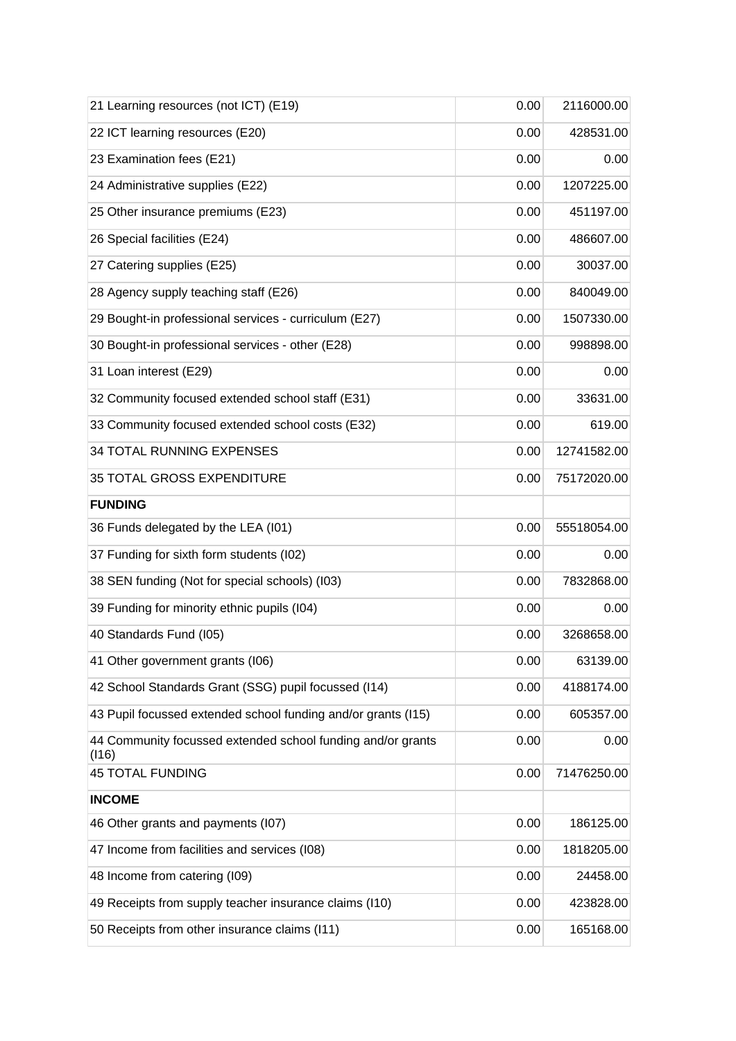| 21 Learning resources (not ICT) (E19)                                | 0.00 | 2116000.00  |
|----------------------------------------------------------------------|------|-------------|
| 22 ICT learning resources (E20)                                      | 0.00 | 428531.00   |
| 23 Examination fees (E21)                                            | 0.00 | 0.00        |
| 24 Administrative supplies (E22)                                     | 0.00 | 1207225.00  |
| 25 Other insurance premiums (E23)                                    | 0.00 | 451197.00   |
| 26 Special facilities (E24)                                          | 0.00 | 486607.00   |
| 27 Catering supplies (E25)                                           | 0.00 | 30037.00    |
| 28 Agency supply teaching staff (E26)                                | 0.00 | 840049.00   |
| 29 Bought-in professional services - curriculum (E27)                | 0.00 | 1507330.00  |
| 30 Bought-in professional services - other (E28)                     | 0.00 | 998898.00   |
| 31 Loan interest (E29)                                               | 0.00 | 0.00        |
| 32 Community focused extended school staff (E31)                     | 0.00 | 33631.00    |
| 33 Community focused extended school costs (E32)                     | 0.00 | 619.00      |
| <b>34 TOTAL RUNNING EXPENSES</b>                                     | 0.00 | 12741582.00 |
| 35 TOTAL GROSS EXPENDITURE                                           | 0.00 | 75172020.00 |
| <b>FUNDING</b>                                                       |      |             |
| 36 Funds delegated by the LEA (I01)                                  | 0.00 | 55518054.00 |
| 37 Funding for sixth form students (I02)                             | 0.00 | 0.00        |
| 38 SEN funding (Not for special schools) (I03)                       | 0.00 | 7832868.00  |
| 39 Funding for minority ethnic pupils (I04)                          | 0.00 | 0.00        |
| 40 Standards Fund (I05)                                              | 0.00 | 3268658.00  |
| 41 Other government grants (I06)                                     | 0.00 | 63139.00    |
| 42 School Standards Grant (SSG) pupil focussed (I14)                 | 0.00 | 4188174.00  |
| 43 Pupil focussed extended school funding and/or grants (I15)        | 0.00 | 605357.00   |
| 44 Community focussed extended school funding and/or grants<br>(116) | 0.00 | 0.00        |
| <b>45 TOTAL FUNDING</b>                                              | 0.00 | 71476250.00 |
| <b>INCOME</b>                                                        |      |             |
| 46 Other grants and payments (I07)                                   | 0.00 | 186125.00   |
| 47 Income from facilities and services (I08)                         | 0.00 | 1818205.00  |
| 48 Income from catering (I09)                                        | 0.00 | 24458.00    |
| 49 Receipts from supply teacher insurance claims (I10)               | 0.00 | 423828.00   |
| 50 Receipts from other insurance claims (I11)                        | 0.00 | 165168.00   |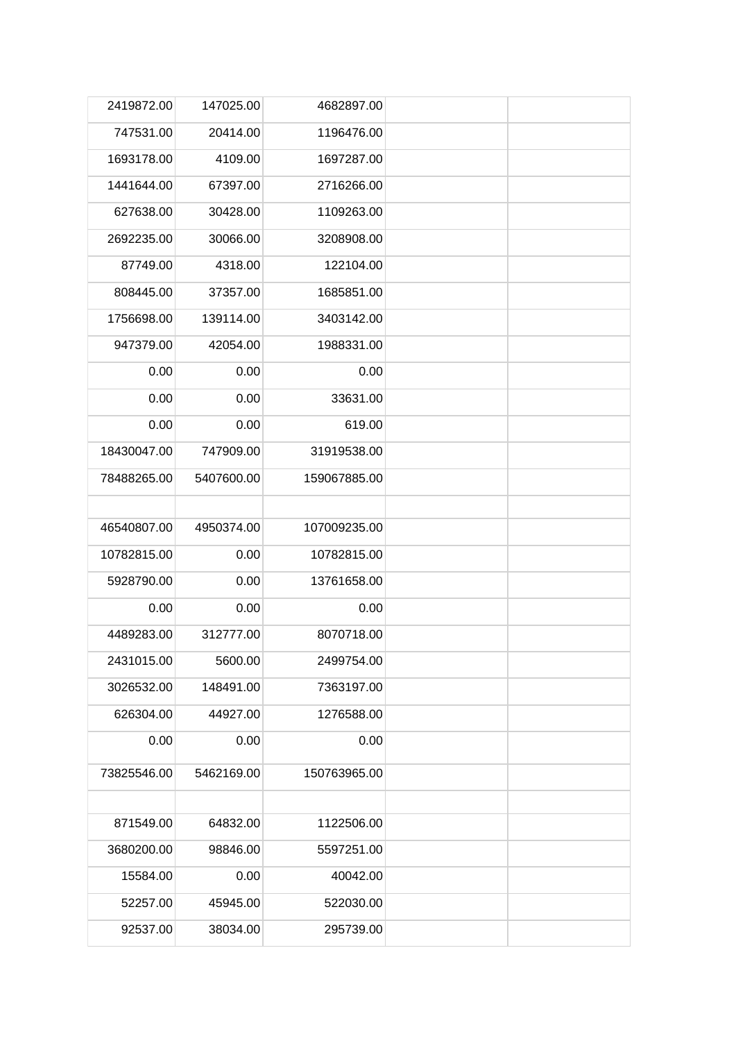| 2419872.00  | 147025.00  | 4682897.00   |  |
|-------------|------------|--------------|--|
| 747531.00   | 20414.00   | 1196476.00   |  |
| 1693178.00  | 4109.00    | 1697287.00   |  |
| 1441644.00  | 67397.00   | 2716266.00   |  |
| 627638.00   | 30428.00   | 1109263.00   |  |
| 2692235.00  | 30066.00   | 3208908.00   |  |
| 87749.00    | 4318.00    | 122104.00    |  |
| 808445.00   | 37357.00   | 1685851.00   |  |
| 1756698.00  | 139114.00  | 3403142.00   |  |
| 947379.00   | 42054.00   | 1988331.00   |  |
| 0.00        | 0.00       | 0.00         |  |
| 0.00        | 0.00       | 33631.00     |  |
| 0.00        | 0.00       | 619.00       |  |
| 18430047.00 | 747909.00  | 31919538.00  |  |
| 78488265.00 | 5407600.00 | 159067885.00 |  |
|             |            |              |  |
| 46540807.00 | 4950374.00 | 107009235.00 |  |
| 10782815.00 | 0.00       | 10782815.00  |  |
| 5928790.00  | 0.00       | 13761658.00  |  |
| 0.00        | 0.00       | 0.00         |  |
| 4489283.00  | 312777.00  | 8070718.00   |  |
| 2431015.00  | 5600.00    | 2499754.00   |  |
| 3026532.00  | 148491.00  | 7363197.00   |  |
| 626304.00   | 44927.00   | 1276588.00   |  |
| 0.00        | 0.00       | 0.00         |  |
| 73825546.00 | 5462169.00 | 150763965.00 |  |
|             |            |              |  |
| 871549.00   | 64832.00   | 1122506.00   |  |
| 3680200.00  | 98846.00   | 5597251.00   |  |
| 15584.00    | 0.00       | 40042.00     |  |
| 52257.00    | 45945.00   | 522030.00    |  |
| 92537.00    | 38034.00   | 295739.00    |  |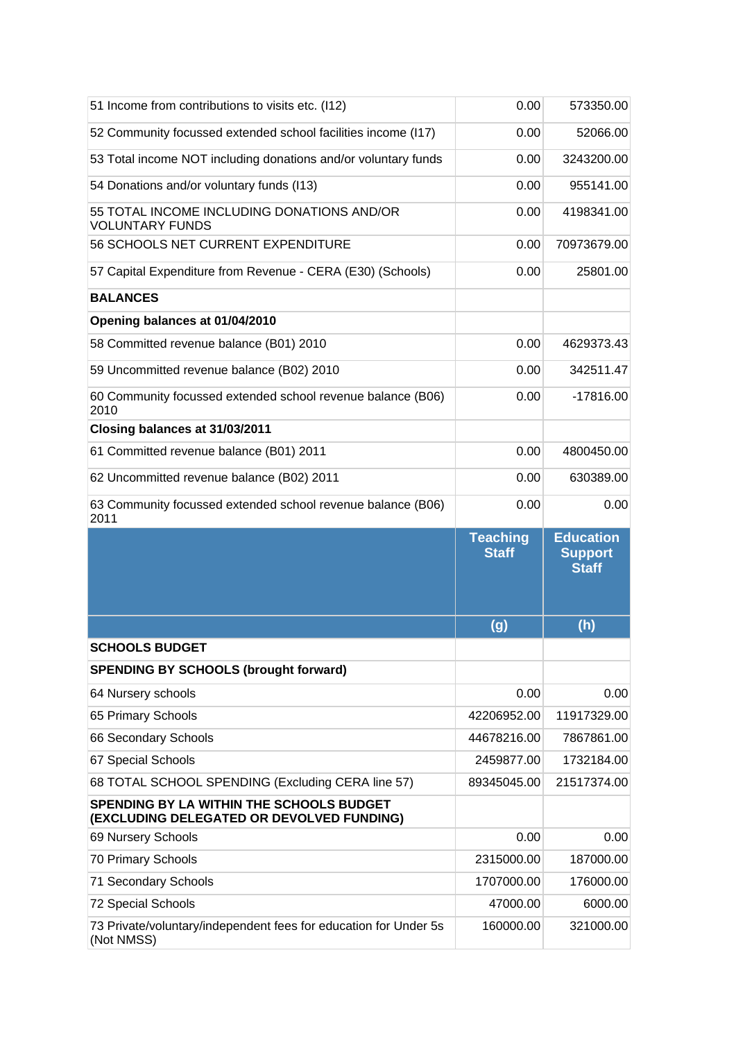| 51 Income from contributions to visits etc. (I12)                                            | 0.00                            | 573350.00                                          |
|----------------------------------------------------------------------------------------------|---------------------------------|----------------------------------------------------|
| 52 Community focussed extended school facilities income (I17)                                | 0.00                            | 52066.00                                           |
| 53 Total income NOT including donations and/or voluntary funds                               | 0.00                            | 3243200.00                                         |
| 54 Donations and/or voluntary funds (I13)                                                    | 0.00                            | 955141.00                                          |
| 55 TOTAL INCOME INCLUDING DONATIONS AND/OR<br><b>VOLUNTARY FUNDS</b>                         | 0.00                            | 4198341.00                                         |
| 56 SCHOOLS NET CURRENT EXPENDITURE                                                           | 0.00                            | 70973679.00                                        |
| 57 Capital Expenditure from Revenue - CERA (E30) (Schools)                                   | 0.00                            | 25801.00                                           |
| <b>BALANCES</b>                                                                              |                                 |                                                    |
| Opening balances at 01/04/2010                                                               |                                 |                                                    |
| 58 Committed revenue balance (B01) 2010                                                      | 0.00                            | 4629373.43                                         |
| 59 Uncommitted revenue balance (B02) 2010                                                    | 0.00                            | 342511.47                                          |
| 60 Community focussed extended school revenue balance (B06)<br>2010                          | 0.00                            | $-17816.00$                                        |
| Closing balances at 31/03/2011                                                               |                                 |                                                    |
| 61 Committed revenue balance (B01) 2011                                                      | 0.00                            | 4800450.00                                         |
| 62 Uncommitted revenue balance (B02) 2011                                                    | 0.00                            | 630389.00                                          |
| 63 Community focussed extended school revenue balance (B06)<br>2011                          | 0.00                            | 0.00                                               |
|                                                                                              |                                 |                                                    |
|                                                                                              | <b>Teaching</b><br><b>Staff</b> | <b>Education</b><br><b>Support</b><br><b>Staff</b> |
|                                                                                              |                                 | (h)                                                |
| <b>SCHOOLS BUDGET</b>                                                                        | (g)                             |                                                    |
| <b>SPENDING BY SCHOOLS (brought forward)</b>                                                 |                                 |                                                    |
| 64 Nursery schools                                                                           | 0.00                            | 0.00                                               |
| 65 Primary Schools                                                                           | 42206952.00                     | 11917329.00                                        |
| 66 Secondary Schools                                                                         | 44678216.00                     | 7867861.00                                         |
| 67 Special Schools                                                                           | 2459877.00                      | 1732184.00                                         |
| 68 TOTAL SCHOOL SPENDING (Excluding CERA line 57)                                            | 89345045.00                     | 21517374.00                                        |
| <b>SPENDING BY LA WITHIN THE SCHOOLS BUDGET</b><br>(EXCLUDING DELEGATED OR DEVOLVED FUNDING) |                                 |                                                    |
| 69 Nursery Schools                                                                           | 0.00                            | 0.00                                               |
| 70 Primary Schools                                                                           | 2315000.00                      | 187000.00                                          |
| 71 Secondary Schools                                                                         | 1707000.00                      | 176000.00                                          |
| 72 Special Schools                                                                           | 47000.00                        | 6000.00                                            |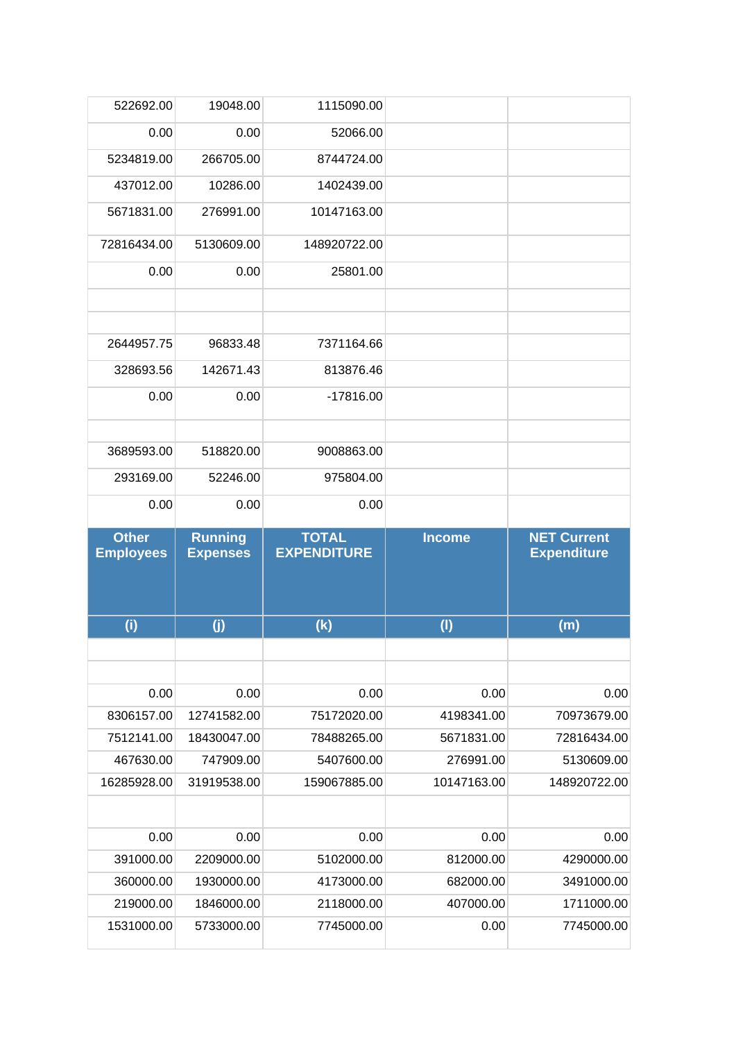| 522692.00                        | 19048.00                          | 1115090.00                         |               |                                                          |
|----------------------------------|-----------------------------------|------------------------------------|---------------|----------------------------------------------------------|
| 0.00                             | 0.00                              | 52066.00                           |               |                                                          |
| 5234819.00                       | 266705.00                         | 8744724.00                         |               |                                                          |
| 437012.00                        | 10286.00                          | 1402439.00                         |               |                                                          |
| 5671831.00                       | 276991.00                         | 10147163.00                        |               |                                                          |
| 72816434.00                      | 5130609.00                        | 148920722.00                       |               |                                                          |
| 0.00                             | 0.00                              | 25801.00                           |               |                                                          |
|                                  |                                   |                                    |               |                                                          |
|                                  |                                   |                                    |               |                                                          |
| 2644957.75                       | 96833.48                          | 7371164.66                         |               |                                                          |
| 328693.56                        | 142671.43                         | 813876.46                          |               |                                                          |
| 0.00                             | 0.00                              | $-17816.00$                        |               |                                                          |
|                                  |                                   |                                    |               |                                                          |
| 3689593.00                       | 518820.00                         | 9008863.00                         |               |                                                          |
| 293169.00                        | 52246.00                          | 975804.00                          |               |                                                          |
| 0.00                             | 0.00                              | 0.00                               |               |                                                          |
|                                  |                                   |                                    |               |                                                          |
|                                  |                                   |                                    |               |                                                          |
| <b>Other</b><br><b>Employees</b> | <b>Running</b><br><b>Expenses</b> | <b>TOTAL</b><br><b>EXPENDITURE</b> | <b>Income</b> | <b>NET Current</b><br><b>Expenditure</b>                 |
|                                  |                                   |                                    |               |                                                          |
| (i)                              | (j)                               | (k)                                | (1)           | (m)                                                      |
|                                  |                                   |                                    |               |                                                          |
| 0.00                             | 0.00                              | 0.00                               | 0.00          |                                                          |
| 8306157.00                       | 12741582.00                       | 75172020.00                        | 4198341.00    | 70973679.00                                              |
| 7512141.00                       | 18430047.00                       | 78488265.00                        | 5671831.00    | 72816434.00                                              |
| 467630.00                        | 747909.00                         | 5407600.00                         | 276991.00     |                                                          |
| 16285928.00                      | 31919538.00                       | 159067885.00                       | 10147163.00   |                                                          |
|                                  |                                   |                                    |               |                                                          |
| 0.00                             | 0.00                              | 0.00                               | 0.00          |                                                          |
| 391000.00                        | 2209000.00                        | 5102000.00                         | 812000.00     | 0.00<br>5130609.00<br>148920722.00<br>0.00<br>4290000.00 |
| 360000.00                        | 1930000.00                        | 4173000.00                         | 682000.00     | 3491000.00                                               |
| 219000.00                        | 1846000.00                        | 2118000.00                         | 407000.00     | 1711000.00                                               |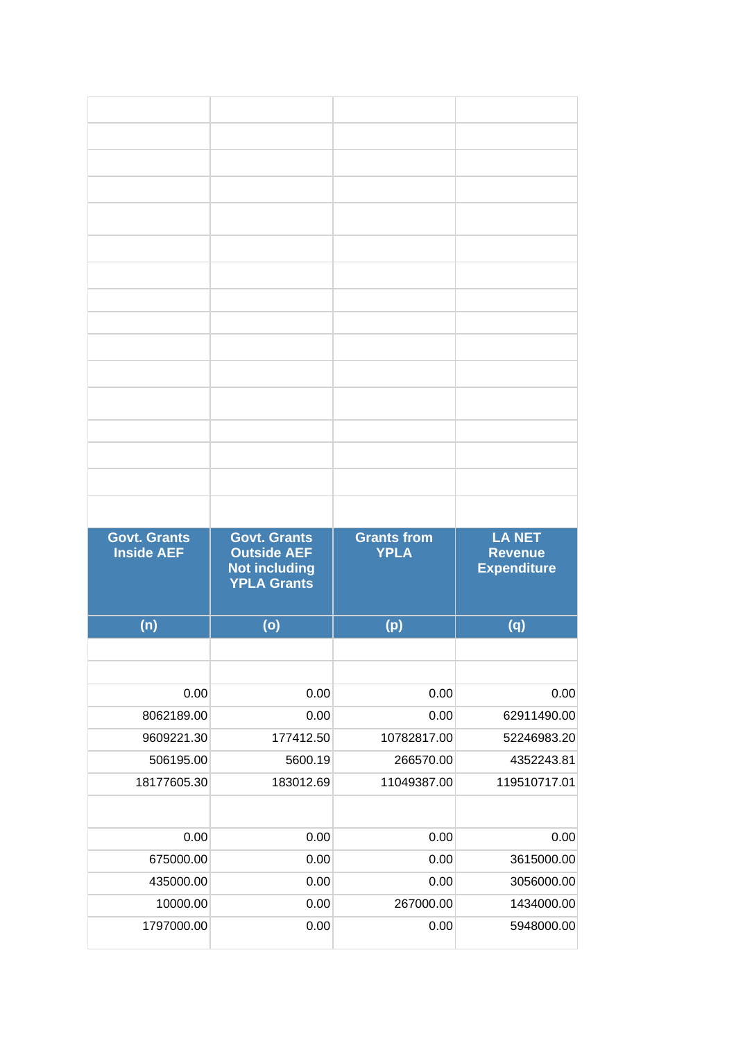| <b>Govt. Grants</b><br><b>Inside AEF</b> | <b>Govt. Grants</b><br><b>Outside AEF</b><br><b>Not including</b><br><b>YPLA Grants</b> | <b>Grants from</b><br><b>YPLA</b> | <b>LA NET</b><br><b>Revenue</b><br><b>Expenditure</b> |
|------------------------------------------|-----------------------------------------------------------------------------------------|-----------------------------------|-------------------------------------------------------|
| (n)                                      | (o)                                                                                     | (p)                               | (q)                                                   |
|                                          |                                                                                         |                                   |                                                       |
|                                          |                                                                                         |                                   |                                                       |
| 0.00                                     | 0.00                                                                                    | 0.00                              | 0.00                                                  |
| 8062189.00                               | 0.00                                                                                    | 0.00                              | 62911490.00                                           |
| 9609221.30                               | 177412.50                                                                               | 10782817.00                       | 52246983.20                                           |
| 506195.00                                | 5600.19                                                                                 | 266570.00                         | 4352243.81                                            |
| 18177605.30                              | 183012.69                                                                               | 11049387.00                       | 119510717.01                                          |
|                                          |                                                                                         |                                   |                                                       |
| 0.00                                     | 0.00                                                                                    | 0.00                              | 0.00                                                  |
| 675000.00                                | 0.00                                                                                    | 0.00                              | 3615000.00                                            |
| 435000.00                                | 0.00                                                                                    | 0.00                              | 3056000.00                                            |
| 10000.00                                 | 0.00                                                                                    | 267000.00                         | 1434000.00                                            |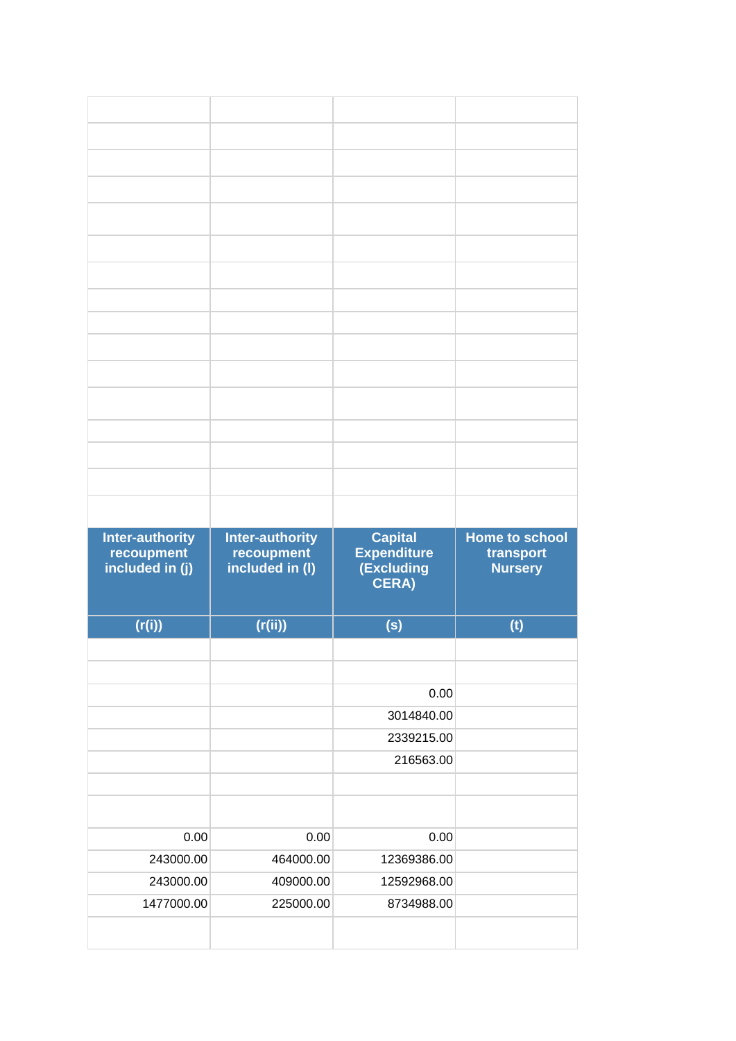| <b>Inter-authority</b><br>recoupment<br>included in (j) | <b>Inter-authority</b><br>recoupment<br>included in (I) | <b>Capital</b><br><b>Expenditure</b><br>(Excluding<br>CERA) | <b>Home to school</b><br>transport<br><b>Nursery</b> |
|---------------------------------------------------------|---------------------------------------------------------|-------------------------------------------------------------|------------------------------------------------------|
| (r(i))                                                  | (r(ii))                                                 | (s)                                                         | (t)                                                  |
|                                                         |                                                         |                                                             |                                                      |
|                                                         |                                                         |                                                             |                                                      |
|                                                         |                                                         | 0.00<br>3014840.00                                          |                                                      |
|                                                         |                                                         | 2339215.00                                                  |                                                      |
|                                                         |                                                         | 216563.00                                                   |                                                      |
|                                                         |                                                         |                                                             |                                                      |
|                                                         |                                                         |                                                             |                                                      |
| 0.00                                                    | 0.00                                                    | 0.00                                                        |                                                      |
| 243000.00<br>243000.00                                  | 464000.00<br>409000.00                                  | 12369386.00<br>12592968.00                                  |                                                      |
| 1477000.00                                              | 225000.00                                               | 8734988.00                                                  |                                                      |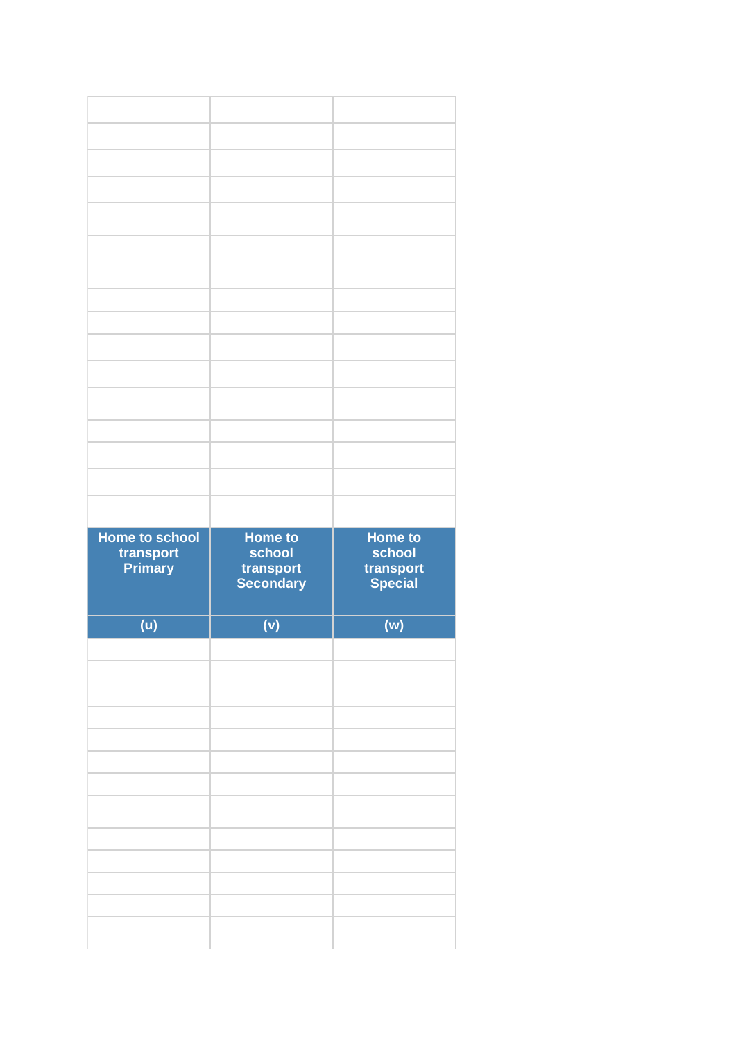| <b>Home to school</b><br>transport<br><b>Primary</b> | Home to<br>school<br>transport<br>Secondary | <b>Home to</b><br>school<br>transport<br>Special |
|------------------------------------------------------|---------------------------------------------|--------------------------------------------------|
| (u)                                                  | (v)                                         | (w)                                              |
|                                                      |                                             |                                                  |
|                                                      |                                             |                                                  |
|                                                      |                                             |                                                  |
|                                                      |                                             |                                                  |
|                                                      |                                             |                                                  |
|                                                      |                                             |                                                  |
|                                                      |                                             |                                                  |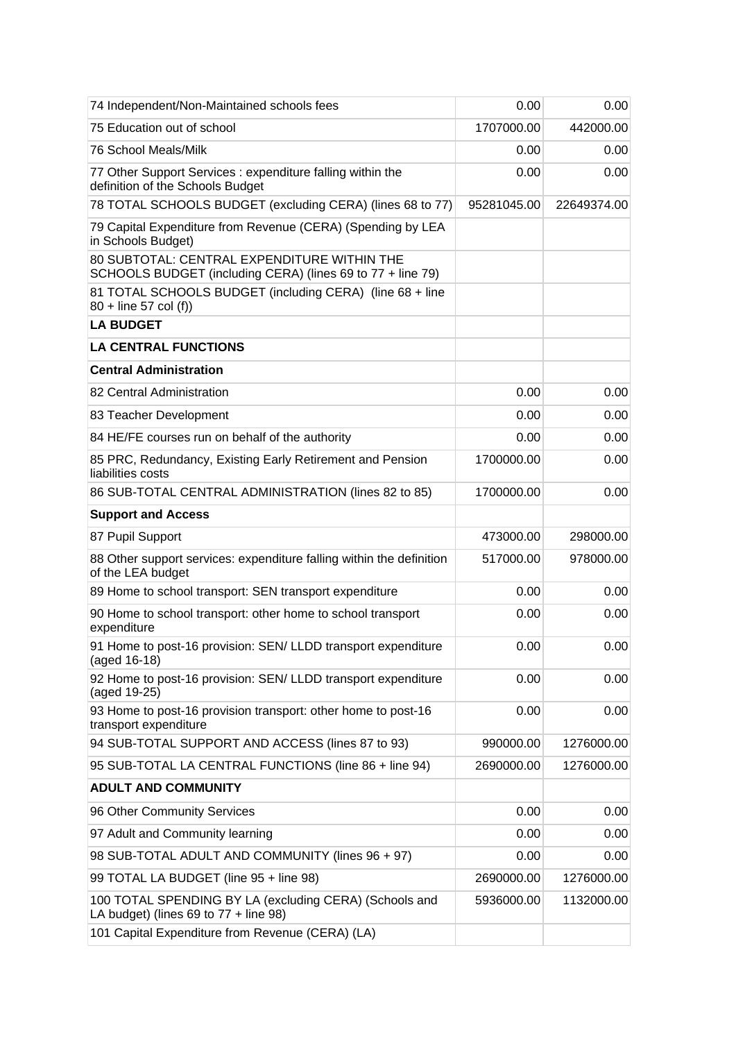| 74 Independent/Non-Maintained schools fees                                                                | 0.00        | 0.00        |
|-----------------------------------------------------------------------------------------------------------|-------------|-------------|
| 75 Education out of school                                                                                | 1707000.00  | 442000.00   |
| 76 School Meals/Milk                                                                                      | 0.00        | 0.00        |
| 77 Other Support Services : expenditure falling within the<br>definition of the Schools Budget            | 0.00        | 0.00        |
| 78 TOTAL SCHOOLS BUDGET (excluding CERA) (lines 68 to 77)                                                 | 95281045.00 | 22649374.00 |
| 79 Capital Expenditure from Revenue (CERA) (Spending by LEA<br>in Schools Budget)                         |             |             |
| 80 SUBTOTAL: CENTRAL EXPENDITURE WITHIN THE<br>SCHOOLS BUDGET (including CERA) (lines 69 to 77 + line 79) |             |             |
| 81 TOTAL SCHOOLS BUDGET (including CERA) (line 68 + line<br>80 + line 57 col (f))                         |             |             |
| <b>LA BUDGET</b>                                                                                          |             |             |
| <b>LA CENTRAL FUNCTIONS</b>                                                                               |             |             |
| <b>Central Administration</b>                                                                             |             |             |
| 82 Central Administration                                                                                 | 0.00        | 0.00        |
| 83 Teacher Development                                                                                    | 0.00        | 0.00        |
| 84 HE/FE courses run on behalf of the authority                                                           | 0.00        | 0.00        |
| 85 PRC, Redundancy, Existing Early Retirement and Pension<br>liabilities costs                            | 1700000.00  | 0.00        |
| 86 SUB-TOTAL CENTRAL ADMINISTRATION (lines 82 to 85)                                                      | 1700000.00  | 0.00        |
| <b>Support and Access</b>                                                                                 |             |             |
| 87 Pupil Support                                                                                          | 473000.00   | 298000.00   |
| 88 Other support services: expenditure falling within the definition<br>of the LEA budget                 | 517000.00   | 978000.00   |
| 89 Home to school transport: SEN transport expenditure                                                    | 0.00        | 0.00        |
| 90 Home to school transport: other home to school transport<br>expenditure                                | 0.00        | 0.00        |
| 91 Home to post-16 provision: SEN/ LLDD transport expenditure<br>(aged 16-18)                             | 0.00        | 0.00        |
| 92 Home to post-16 provision: SEN/ LLDD transport expenditure<br>(aged 19-25)                             | 0.00        | 0.00        |
| 93 Home to post-16 provision transport: other home to post-16<br>transport expenditure                    | 0.00        | 0.00        |
| 94 SUB-TOTAL SUPPORT AND ACCESS (lines 87 to 93)                                                          | 990000.00   | 1276000.00  |
| 95 SUB-TOTAL LA CENTRAL FUNCTIONS (line 86 + line 94)                                                     | 2690000.00  | 1276000.00  |
| <b>ADULT AND COMMUNITY</b>                                                                                |             |             |
| 96 Other Community Services                                                                               | 0.00        | 0.00        |
| 97 Adult and Community learning                                                                           | 0.00        | 0.00        |
| 98 SUB-TOTAL ADULT AND COMMUNITY (lines 96 + 97)                                                          | 0.00        | 0.00        |
| 99 TOTAL LA BUDGET (line 95 + line 98)                                                                    | 2690000.00  | 1276000.00  |
| 100 TOTAL SPENDING BY LA (excluding CERA) (Schools and<br>LA budget) (lines $69$ to $77 +$ line $98$ )    | 5936000.00  | 1132000.00  |
| 101 Capital Expenditure from Revenue (CERA) (LA)                                                          |             |             |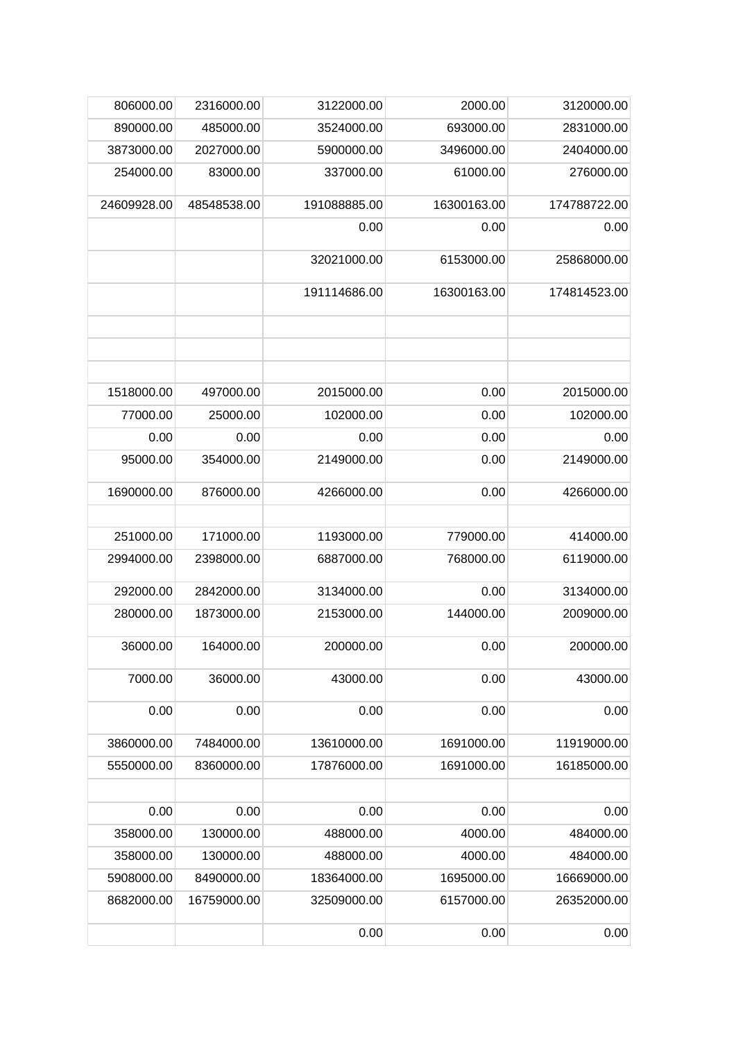| 3120000.00   | 2000.00     | 3122000.00   | 2316000.00  | 806000.00   |
|--------------|-------------|--------------|-------------|-------------|
| 2831000.00   | 693000.00   | 3524000.00   | 485000.00   | 890000.00   |
| 2404000.00   | 3496000.00  | 5900000.00   | 2027000.00  | 3873000.00  |
| 276000.00    | 61000.00    | 337000.00    | 83000.00    | 254000.00   |
| 174788722.00 | 16300163.00 | 191088885.00 | 48548538.00 | 24609928.00 |
| 0.00         | 0.00        | 0.00         |             |             |
| 25868000.00  | 6153000.00  | 32021000.00  |             |             |
| 174814523.00 | 16300163.00 | 191114686.00 |             |             |
|              |             |              |             |             |
| 2015000.00   | 0.00        | 2015000.00   | 497000.00   | 1518000.00  |
| 102000.00    | 0.00        | 102000.00    | 25000.00    | 77000.00    |
| 0.00         | 0.00        | 0.00         | 0.00        | 0.00        |
| 2149000.00   | 0.00        | 2149000.00   | 354000.00   | 95000.00    |
| 4266000.00   | 0.00        | 4266000.00   | 876000.00   | 1690000.00  |
|              |             |              |             |             |
| 414000.00    | 779000.00   | 1193000.00   | 171000.00   | 251000.00   |
| 6119000.00   | 768000.00   | 6887000.00   | 2398000.00  | 2994000.00  |
| 3134000.00   | 0.00        | 3134000.00   | 2842000.00  | 292000.00   |
| 2009000.00   | 144000.00   | 2153000.00   | 1873000.00  | 280000.00   |
| 200000.00    | 0.00        | 200000.00    | 164000.00   | 36000.00    |
| 43000.00     | 0.00        | 43000.00     | 36000.00    | 7000.00     |
| 0.00         | 0.00        | 0.00         | 0.00        | 0.00        |
| 11919000.00  | 1691000.00  | 13610000.00  | 7484000.00  | 3860000.00  |
| 16185000.00  | 1691000.00  | 17876000.00  | 8360000.00  | 5550000.00  |
| 0.00         | 0.00        | 0.00         | 0.00        | 0.00        |
| 484000.00    | 4000.00     | 488000.00    | 130000.00   | 358000.00   |
| 484000.00    | 4000.00     | 488000.00    | 130000.00   | 358000.00   |
| 16669000.00  | 1695000.00  | 18364000.00  | 8490000.00  | 5908000.00  |
| 26352000.00  | 6157000.00  | 32509000.00  | 16759000.00 | 8682000.00  |
| 0.00         | 0.00        | 0.00         |             |             |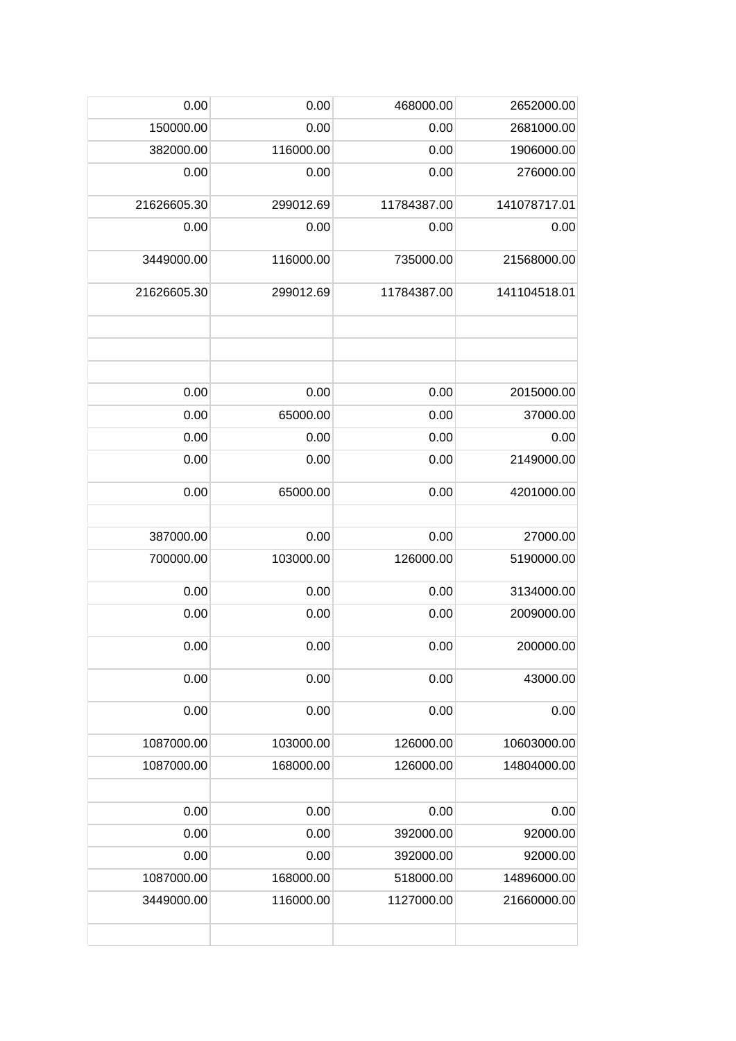| 0.00        | 0.00      | 468000.00   | 2652000.00   |
|-------------|-----------|-------------|--------------|
| 150000.00   | 0.00      | 0.00        | 2681000.00   |
| 382000.00   | 116000.00 | 0.00        | 1906000.00   |
| 0.00        | 0.00      | 0.00        | 276000.00    |
| 21626605.30 | 299012.69 | 11784387.00 | 141078717.01 |
| 0.00        | 0.00      | 0.00        | 0.00         |
| 3449000.00  | 116000.00 | 735000.00   | 21568000.00  |
| 21626605.30 | 299012.69 | 11784387.00 | 141104518.01 |
|             |           |             |              |
| 0.00        | 0.00      | 0.00        | 2015000.00   |
| 0.00        | 65000.00  | 0.00        | 37000.00     |
| 0.00        | 0.00      | 0.00        | 0.00         |
| 0.00        | 0.00      | 0.00        | 2149000.00   |
| 0.00        | 65000.00  | 0.00        | 4201000.00   |
|             |           |             |              |
| 387000.00   | 0.00      | 0.00        | 27000.00     |
| 700000.00   | 103000.00 | 126000.00   | 5190000.00   |
| 0.00        | 0.00      | 0.00        | 3134000.00   |
| 0.00        | 0.00      | 0.00        | 2009000.00   |
| 0.00        | 0.00      | 0.00        | 200000.00    |
| 0.00        | 0.00      | 0.00        | 43000.00     |
| 0.00        | 0.00      | 0.00        | 0.00         |
| 1087000.00  | 103000.00 | 126000.00   | 10603000.00  |
| 1087000.00  | 168000.00 | 126000.00   | 14804000.00  |
|             |           |             |              |
| 0.00        | 0.00      | 0.00        | 0.00         |
| 0.00        | 0.00      | 392000.00   | 92000.00     |
| 0.00        | 0.00      | 392000.00   | 92000.00     |
| 1087000.00  | 168000.00 | 518000.00   | 14896000.00  |
| 3449000.00  | 116000.00 | 1127000.00  | 21660000.00  |
|             |           |             |              |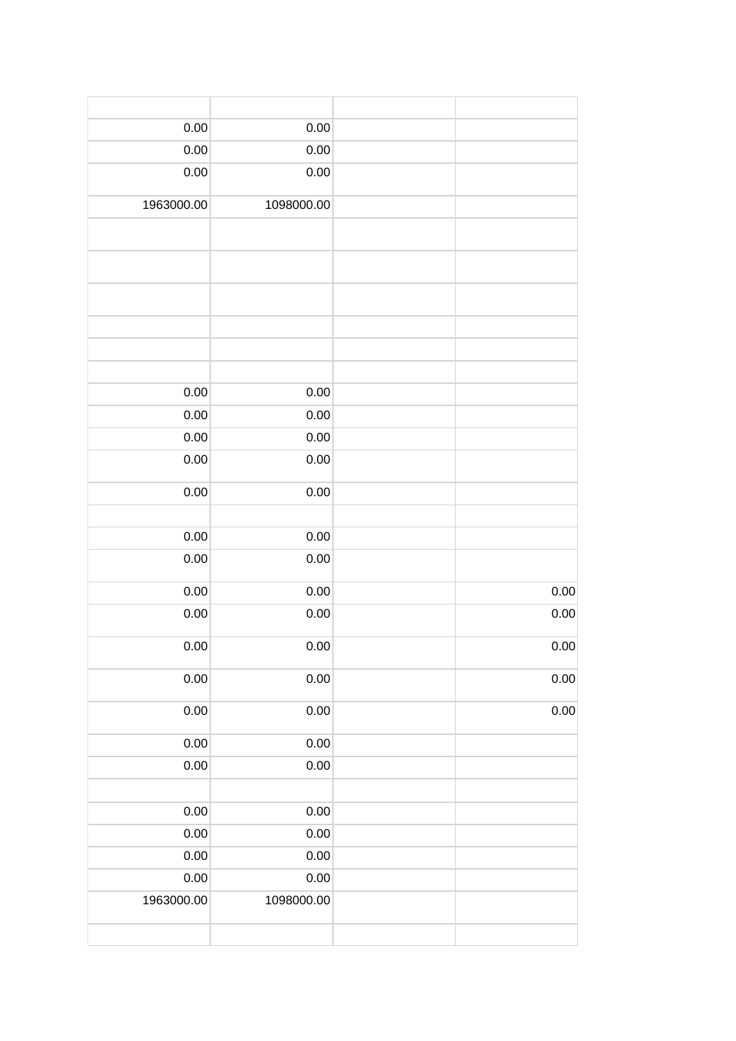| $0.00\,$   | 0.00       |          |  |
|------------|------------|----------|--|
| $0.00\,$   | 0.00       |          |  |
| 0.00       | 0.00       |          |  |
| 1963000.00 | 1098000.00 |          |  |
|            |            |          |  |
|            |            |          |  |
|            |            |          |  |
|            |            |          |  |
|            |            |          |  |
|            |            |          |  |
| 0.00       | 0.00       |          |  |
| 0.00       | 0.00       |          |  |
| 0.00       | 0.00       |          |  |
| 0.00       | 0.00       |          |  |
| $0.00\,$   | 0.00       |          |  |
|            |            |          |  |
| $0.00\,$   | 0.00       |          |  |
| 0.00       | 0.00       |          |  |
| $0.00\,$   | 0.00       | $0.00\,$ |  |
| 0.00       | 0.00       | $0.00\,$ |  |
| 0.00       | 0.00       | $0.00\,$ |  |
| 0.00       | $0.00\,$   | $0.00\,$ |  |
| $0.00\,$   | 0.00       | $0.00\,$ |  |
| $0.00\,$   | $0.00\,$   |          |  |
| $0.00\,$   | $0.00\,$   |          |  |
|            |            |          |  |
| $0.00\,$   | $0.00\,$   |          |  |
| $0.00\,$   | $0.00\,$   |          |  |
| $0.00\,$   | $0.00\,$   |          |  |
| $0.00\,$   | $0.00\,$   |          |  |
| 1963000.00 | 1098000.00 |          |  |
|            |            |          |  |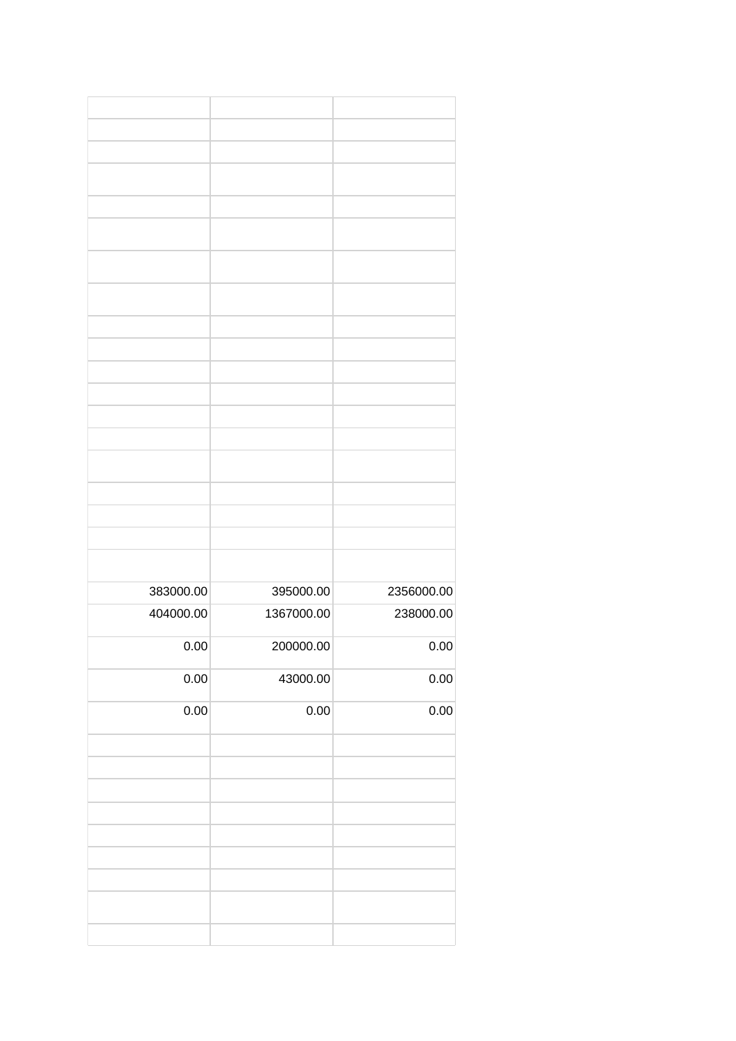| 383000.00 | 395000.00  | 2356000.00 |
|-----------|------------|------------|
| 404000.00 | 1367000.00 | 238000.00  |
|           |            |            |
| 0.00      | 200000.00  | 0.00       |
|           |            |            |
| 0.00      | 43000.00   | 0.00       |
|           |            |            |
| 0.00      | 0.00       | 0.00       |
|           |            |            |
|           |            |            |
|           |            |            |
|           |            |            |
|           |            |            |
|           |            |            |
|           |            |            |
|           |            |            |
|           |            |            |
|           |            |            |
|           |            |            |
|           |            |            |
|           |            |            |
|           |            |            |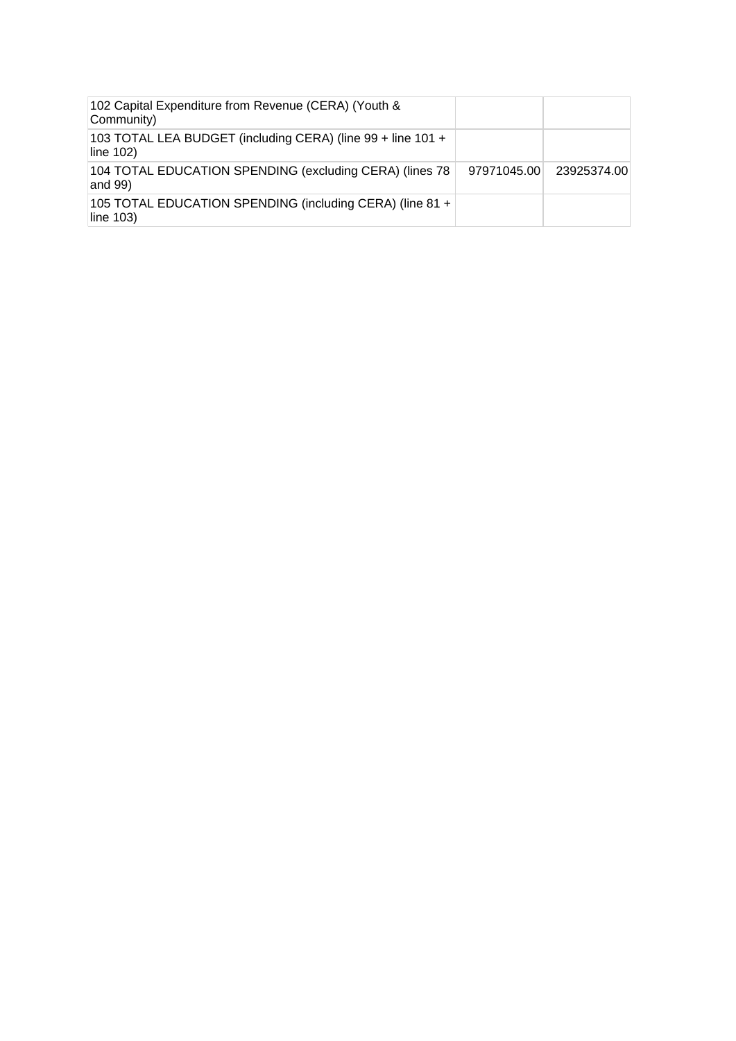| 102 Capital Expenditure from Revenue (CERA) (Youth &<br>Community)       |             |             |
|--------------------------------------------------------------------------|-------------|-------------|
| 103 TOTAL LEA BUDGET (including CERA) (line 99 + line 101 +<br>line 102) |             |             |
| 104 TOTAL EDUCATION SPENDING (excluding CERA) (lines 78<br>and $99$ )    | 97971045.00 | 23925374.00 |
| 105 TOTAL EDUCATION SPENDING (including CERA) (line 81 +<br>line 103)    |             |             |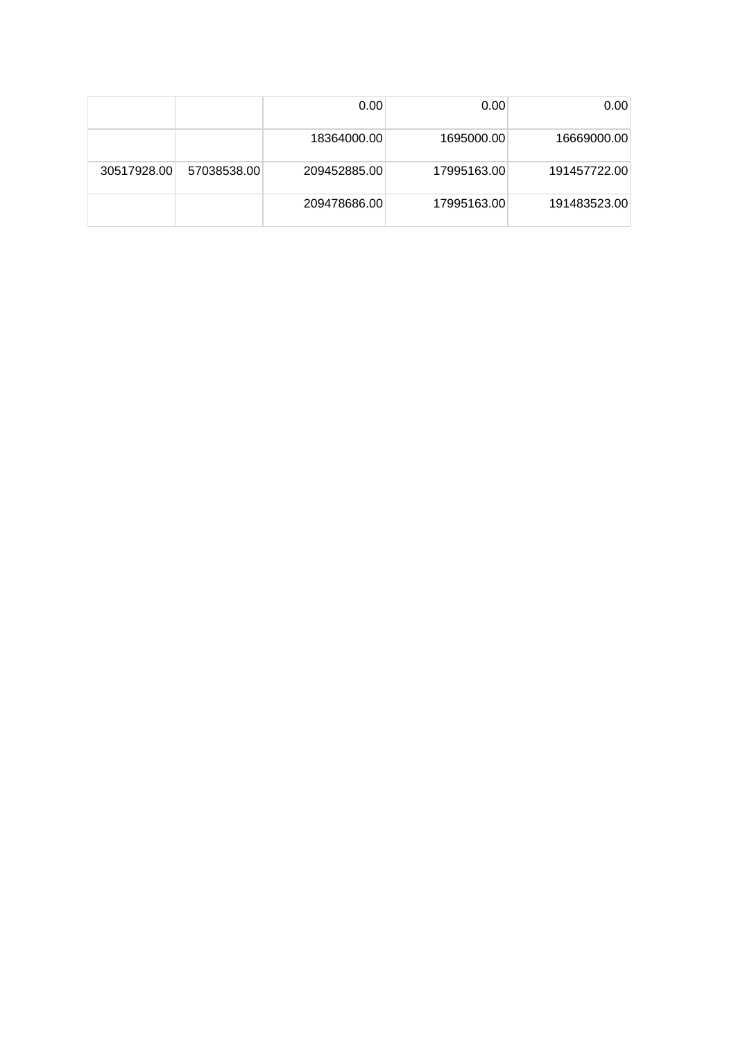|             |             | 0.00         | 0.00        | 0.00         |
|-------------|-------------|--------------|-------------|--------------|
|             |             | 18364000.00  | 1695000.00  | 16669000.00  |
| 30517928.00 | 57038538.00 | 209452885.00 | 17995163.00 | 191457722.00 |
|             |             | 209478686.00 | 17995163.00 | 191483523.00 |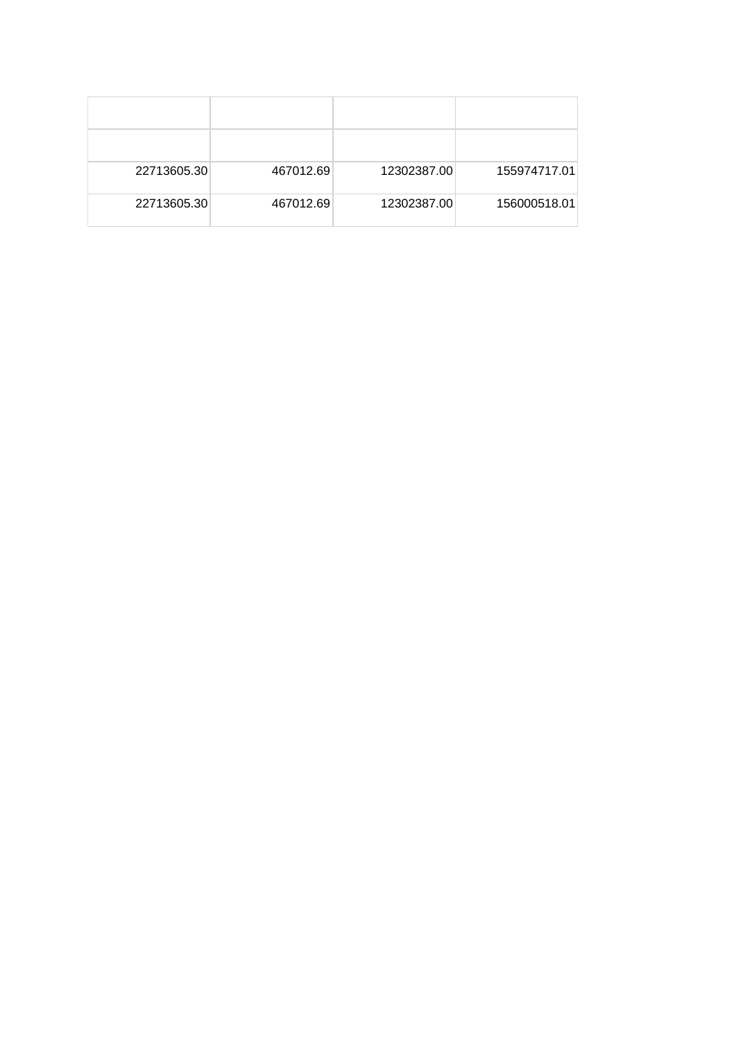| 22713605.30 | 467012.69 | 12302387.00 | 155974717.01 |
|-------------|-----------|-------------|--------------|
| 22713605.30 | 467012.69 | 12302387.00 | 156000518.01 |